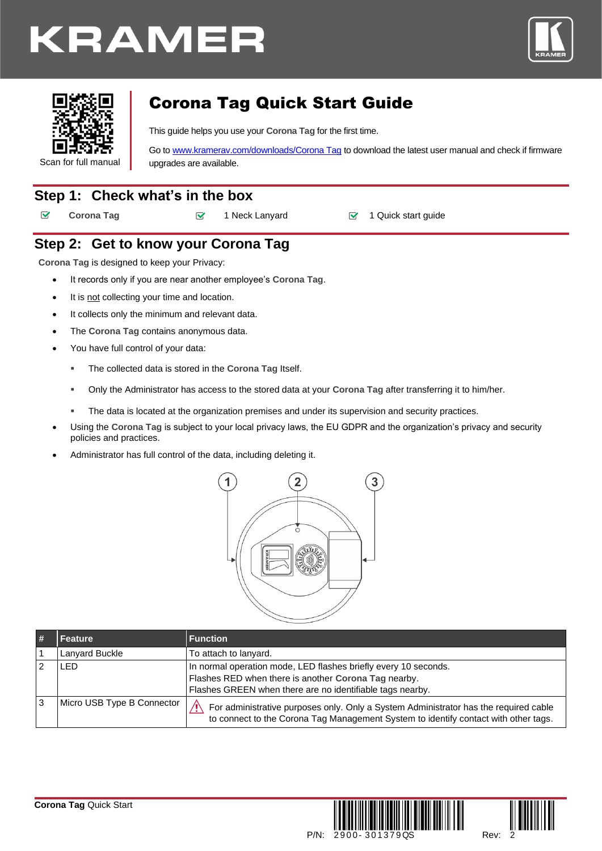# KRAMER





## Corona Tag Quick Start Guide

This guide helps you use your **Corona Tag** for the first time.

Go t[o www.kramerav.com/downloads/Corona Tag](http://www.kramerav.com/downloads/Corona%20Tag) to download the latest user manual and check if firmware upgrades are available.

### **Step 1: Check what's in the box**

 $\overline{\mathbf{v}}$ 

**Corona Tag** 1 Neck Lanyard ■ 1 Quick start guide

### **Step 2: Get to know your Corona Tag**

**Corona Tag** is designed to keep your Privacy:

- It records only if you are near another employee's **Corona Tag**.
	- It is not collecting your time and location.
	- It collects only the minimum and relevant data.
	- The **Corona Tag** contains anonymous data.
	- You have full control of your data:
		- The collected data is stored in the **Corona Tag** Itself.
		- Only the Administrator has access to the stored data at your Corona Tag after transferring it to him/her.
		- The data is located at the organization premises and under its supervision and security practices.
	- Using the **Corona Tag** is subject to your local privacy laws, the EU GDPR and the organization's privacy and security policies and practices.
	- Administrator has full control of the data, including deleting it.



| # | Feature                    | <b>Function</b>                                                                                                                                                                          |
|---|----------------------------|------------------------------------------------------------------------------------------------------------------------------------------------------------------------------------------|
|   | Lanyard Buckle             | To attach to lanyard.                                                                                                                                                                    |
|   | _ED.                       | In normal operation mode, LED flashes briefly every 10 seconds.<br>Flashes RED when there is another Corona Tag nearby.<br>Flashes GREEN when there are no identifiable tags nearby.     |
| 3 | Micro USB Type B Connector | For administrative purposes only. Only a System Administrator has the required cable<br>$\Lambda$<br>to connect to the Corona Tag Management System to identify contact with other tags. |